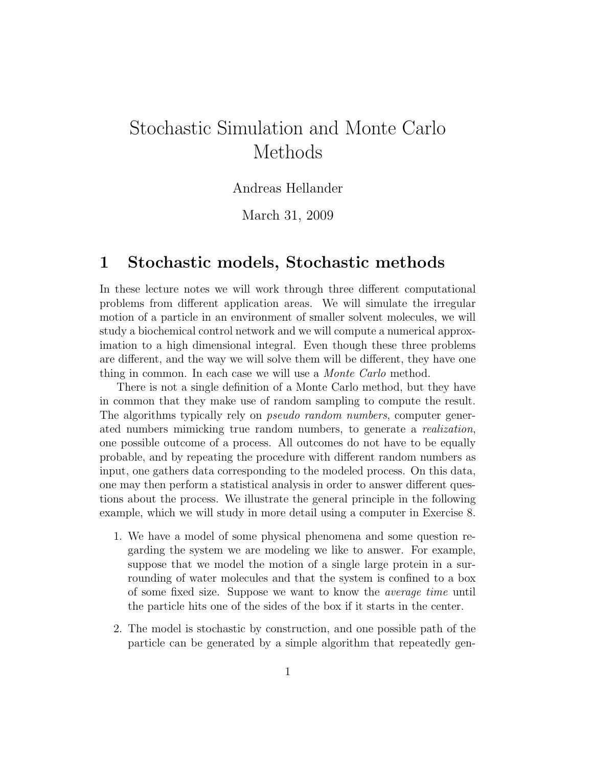# Stochastic Simulation and Monte Carlo Methods

### Andreas Hellander

March 31, 2009

## 1 Stochastic models, Stochastic methods

In these lecture notes we will work through three different computational problems from different application areas. We will simulate the irregular motion of a particle in an environment of smaller solvent molecules, we will study a biochemical control network and we will compute a numerical approximation to a high dimensional integral. Even though these three problems are different, and the way we will solve them will be different, they have one thing in common. In each case we will use a Monte Carlo method.

There is not a single definition of a Monte Carlo method, but they have in common that they make use of random sampling to compute the result. The algorithms typically rely on pseudo random numbers, computer generated numbers mimicking true random numbers, to generate a realization, one possible outcome of a process. All outcomes do not have to be equally probable, and by repeating the procedure with different random numbers as input, one gathers data corresponding to the modeled process. On this data, one may then perform a statistical analysis in order to answer different questions about the process. We illustrate the general principle in the following example, which we will study in more detail using a computer in Exercise 8.

- 1. We have a model of some physical phenomena and some question regarding the system we are modeling we like to answer. For example, suppose that we model the motion of a single large protein in a surrounding of water molecules and that the system is confined to a box of some fixed size. Suppose we want to know the average time until the particle hits one of the sides of the box if it starts in the center.
- 2. The model is stochastic by construction, and one possible path of the particle can be generated by a simple algorithm that repeatedly gen-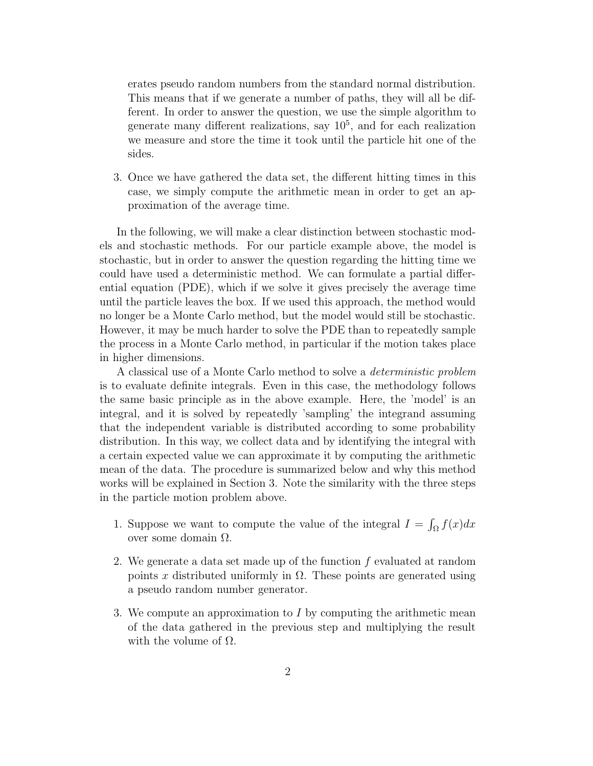erates pseudo random numbers from the standard normal distribution. This means that if we generate a number of paths, they will all be different. In order to answer the question, we use the simple algorithm to generate many different realizations, say  $10^5$ , and for each realization we measure and store the time it took until the particle hit one of the sides.

3. Once we have gathered the data set, the different hitting times in this case, we simply compute the arithmetic mean in order to get an approximation of the average time.

In the following, we will make a clear distinction between stochastic models and stochastic methods. For our particle example above, the model is stochastic, but in order to answer the question regarding the hitting time we could have used a deterministic method. We can formulate a partial differential equation (PDE), which if we solve it gives precisely the average time until the particle leaves the box. If we used this approach, the method would no longer be a Monte Carlo method, but the model would still be stochastic. However, it may be much harder to solve the PDE than to repeatedly sample the process in a Monte Carlo method, in particular if the motion takes place in higher dimensions.

A classical use of a Monte Carlo method to solve a deterministic problem is to evaluate definite integrals. Even in this case, the methodology follows the same basic principle as in the above example. Here, the 'model' is an integral, and it is solved by repeatedly 'sampling' the integrand assuming that the independent variable is distributed according to some probability distribution. In this way, we collect data and by identifying the integral with a certain expected value we can approximate it by computing the arithmetic mean of the data. The procedure is summarized below and why this method works will be explained in Section 3. Note the similarity with the three steps in the particle motion problem above.

- 1. Suppose we want to compute the value of the integral  $I = \int_{\Omega} f(x) dx$ over some domain Ω.
- 2. We generate a data set made up of the function f evaluated at random points x distributed uniformly in  $\Omega$ . These points are generated using a pseudo random number generator.
- 3. We compute an approximation to I by computing the arithmetic mean of the data gathered in the previous step and multiplying the result with the volume of  $\Omega$ .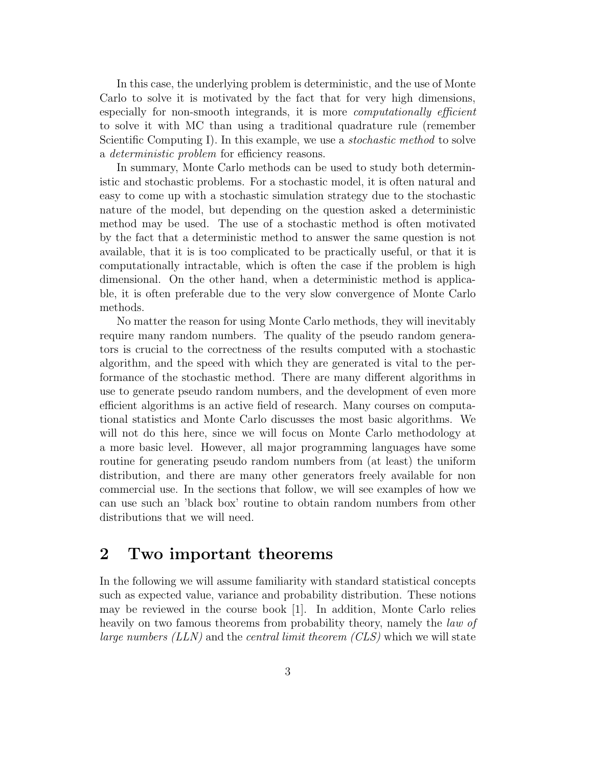In this case, the underlying problem is deterministic, and the use of Monte Carlo to solve it is motivated by the fact that for very high dimensions, especially for non-smooth integrands, it is more *computationally efficient* to solve it with MC than using a traditional quadrature rule (remember Scientific Computing I). In this example, we use a *stochastic method* to solve a deterministic problem for efficiency reasons.

In summary, Monte Carlo methods can be used to study both deterministic and stochastic problems. For a stochastic model, it is often natural and easy to come up with a stochastic simulation strategy due to the stochastic nature of the model, but depending on the question asked a deterministic method may be used. The use of a stochastic method is often motivated by the fact that a deterministic method to answer the same question is not available, that it is is too complicated to be practically useful, or that it is computationally intractable, which is often the case if the problem is high dimensional. On the other hand, when a deterministic method is applicable, it is often preferable due to the very slow convergence of Monte Carlo methods.

No matter the reason for using Monte Carlo methods, they will inevitably require many random numbers. The quality of the pseudo random generators is crucial to the correctness of the results computed with a stochastic algorithm, and the speed with which they are generated is vital to the performance of the stochastic method. There are many different algorithms in use to generate pseudo random numbers, and the development of even more efficient algorithms is an active field of research. Many courses on computational statistics and Monte Carlo discusses the most basic algorithms. We will not do this here, since we will focus on Monte Carlo methodology at a more basic level. However, all major programming languages have some routine for generating pseudo random numbers from (at least) the uniform distribution, and there are many other generators freely available for non commercial use. In the sections that follow, we will see examples of how we can use such an 'black box' routine to obtain random numbers from other distributions that we will need.

# 2 Two important theorems

In the following we will assume familiarity with standard statistical concepts such as expected value, variance and probability distribution. These notions may be reviewed in the course book [1]. In addition, Monte Carlo relies heavily on two famous theorems from probability theory, namely the *law of large numbers (LLN)* and the *central limit theorem (CLS)* which we will state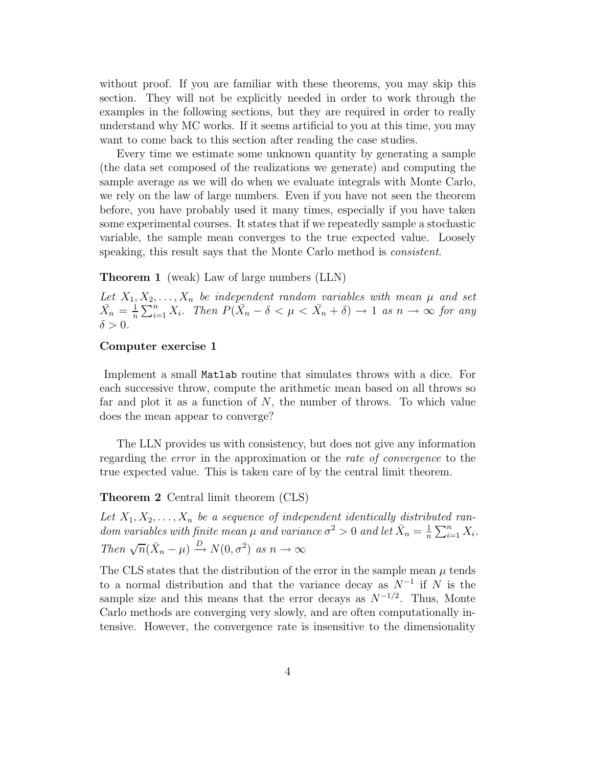without proof. If you are familiar with these theorems, you may skip this section. They will not be explicitly needed in order to work through the examples in the following sections, but they are required in order to really understand why MC works. If it seems artificial to you at this time, you may want to come back to this section after reading the case studies.

Every time we estimate some unknown quantity by generating a sample (the data set composed of the realizations we generate) and computing the sample average as we will do when we evaluate integrals with Monte Carlo, we rely on the law of large numbers. Even if you have not seen the theorem before, you have probably used it many times, especially if you have taken some experimental courses. It states that if we repeatedly sample a stochastic variable, the sample mean converges to the true expected value. Loosely speaking, this result says that the Monte Carlo method is consistent.

Theorem 1 (weak) Law of large numbers (LLN)

Let  $X_1, X_2, \ldots, X_n$  be independent random variables with mean  $\mu$  and set  $\bar{X_n} = \frac{1}{n}$  $\frac{1}{n}\sum_{i=1}^{n} X_i$ . Then  $P(\bar{X}_n - \delta < \mu < \bar{X}_n + \delta) \to 1$  as  $n \to \infty$  for any  $\delta > 0$ .

#### Computer exercise 1

Implement a small Matlab routine that simulates throws with a dice. For each successive throw, compute the arithmetic mean based on all throws so far and plot it as a function of  $N$ , the number of throws. To which value does the mean appear to converge?

The LLN provides us with consistency, but does not give any information regarding the error in the approximation or the rate of convergence to the true expected value. This is taken care of by the central limit theorem.

Theorem 2 Central limit theorem (CLS)

Let  $X_1, X_2, \ldots, X_n$  be a sequence of independent identically distributed random variables with finite mean  $\mu$  and variance  $\sigma^2 > 0$  and let  $\bar{X}_n = \frac{1}{n}$  $\frac{1}{n} \sum_{i=1}^n X_i$ . Then  $\sqrt{n}(\bar{X}_n - \mu) \xrightarrow{D} N(0, \sigma^2)$  as  $n \to \infty$ 

The CLS states that the distribution of the error in the sample mean  $\mu$  tends to a normal distribution and that the variance decay as  $N^{-1}$  if N is the sample size and this means that the error decays as  $N^{-1/2}$ . Thus, Monte Carlo methods are converging very slowly, and are often computationally intensive. However, the convergence rate is insensitive to the dimensionality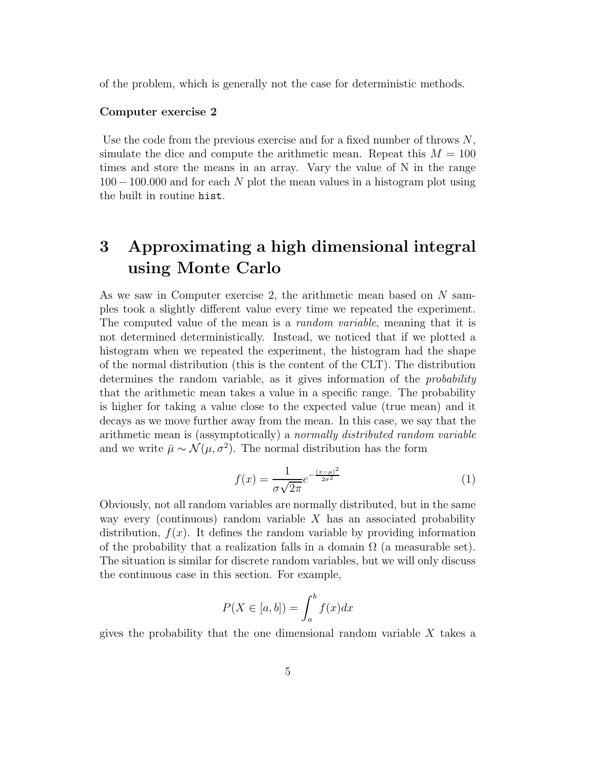of the problem, which is generally not the case for deterministic methods.

#### Computer exercise 2

Use the code from the previous exercise and for a fixed number of throws  $N$ , simulate the dice and compute the arithmetic mean. Repeat this  $M = 100$ times and store the means in an array. Vary the value of N in the range  $100 - 100.000$  and for each N plot the mean values in a histogram plot using the built in routine hist.

# 3 Approximating a high dimensional integral using Monte Carlo

As we saw in Computer exercise 2, the arithmetic mean based on N samples took a slightly different value every time we repeated the experiment. The computed value of the mean is a *random variable*, meaning that it is not determined deterministically. Instead, we noticed that if we plotted a histogram when we repeated the experiment, the histogram had the shape of the normal distribution (this is the content of the CLT). The distribution determines the random variable, as it gives information of the probability that the arithmetic mean takes a value in a specific range. The probability is higher for taking a value close to the expected value (true mean) and it decays as we move further away from the mean. In this case, we say that the arithmetic mean is (assymptotically) a normally distributed random variable and we write  $\bar{\mu} \sim \mathcal{N}(\mu, \sigma^2)$ . The normal distribution has the form

$$
f(x) = \frac{1}{\sigma\sqrt{2\pi}}e^{-\frac{(x-\mu)^2}{2\sigma^2}}
$$
 (1)

Obviously, not all random variables are normally distributed, but in the same way every (continuous) random variable  $X$  has an associated probability distribution,  $f(x)$ . It defines the random variable by providing information of the probability that a realization falls in a domain  $\Omega$  (a measurable set). The situation is similar for discrete random variables, but we will only discuss the continuous case in this section. For example,

$$
P(X \in [a, b]) = \int_{a}^{b} f(x)dx
$$

gives the probability that the one dimensional random variable  $X$  takes a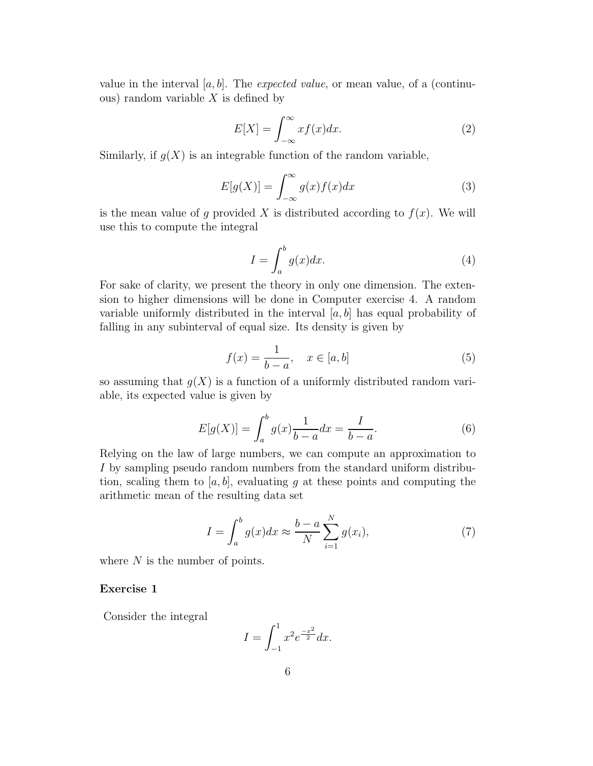value in the interval [a, b]. The *expected value*, or mean value, of a (continuous) random variable  $X$  is defined by

$$
E[X] = \int_{-\infty}^{\infty} x f(x) dx.
$$
 (2)

Similarly, if  $g(X)$  is an integrable function of the random variable,

$$
E[g(X)] = \int_{-\infty}^{\infty} g(x)f(x)dx
$$
 (3)

is the mean value of g provided X is distributed according to  $f(x)$ . We will use this to compute the integral

$$
I = \int_{a}^{b} g(x)dx.
$$
 (4)

For sake of clarity, we present the theory in only one dimension. The extension to higher dimensions will be done in Computer exercise 4. A random variable uniformly distributed in the interval  $[a, b]$  has equal probability of falling in any subinterval of equal size. Its density is given by

$$
f(x) = \frac{1}{b-a}, \quad x \in [a, b]
$$
 (5)

so assuming that  $q(X)$  is a function of a uniformly distributed random variable, its expected value is given by

$$
E[g(X)] = \int_{a}^{b} g(x) \frac{1}{b-a} dx = \frac{I}{b-a}.
$$
 (6)

Relying on the law of large numbers, we can compute an approximation to I by sampling pseudo random numbers from the standard uniform distribution, scaling them to  $[a, b]$ , evaluating g at these points and computing the arithmetic mean of the resulting data set

$$
I = \int_{a}^{b} g(x)dx \approx \frac{b-a}{N} \sum_{i=1}^{N} g(x_i),\tag{7}
$$

where  $N$  is the number of points.

#### Exercise 1

Consider the integral

$$
I = \int_{-1}^{1} x^2 e^{\frac{-x^2}{2}} dx.
$$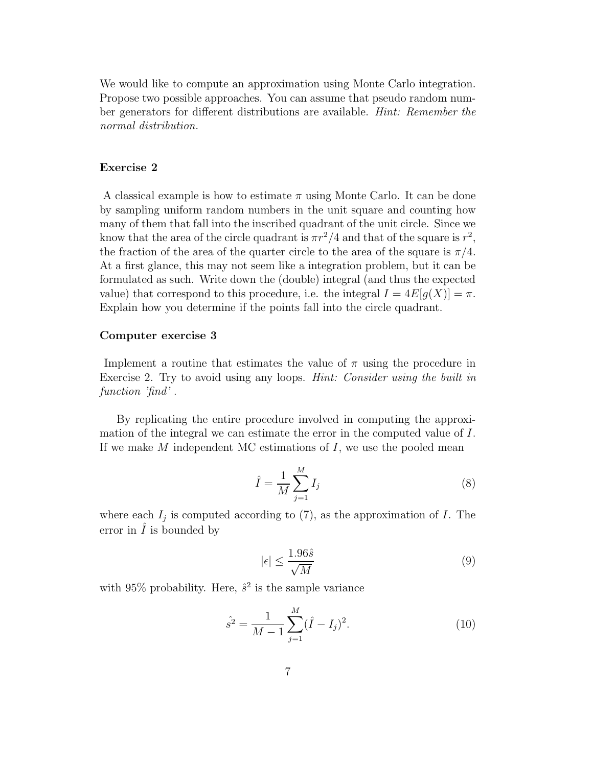We would like to compute an approximation using Monte Carlo integration. Propose two possible approaches. You can assume that pseudo random number generators for different distributions are available. Hint: Remember the normal distribution.

#### Exercise 2

A classical example is how to estimate  $\pi$  using Monte Carlo. It can be done by sampling uniform random numbers in the unit square and counting how many of them that fall into the inscribed quadrant of the unit circle. Since we know that the area of the circle quadrant is  $\pi r^2/4$  and that of the square is  $r^2$ , the fraction of the area of the quarter circle to the area of the square is  $\pi/4$ . At a first glance, this may not seem like a integration problem, but it can be formulated as such. Write down the (double) integral (and thus the expected value) that correspond to this procedure, i.e. the integral  $I = 4E[g(X)] = \pi$ . Explain how you determine if the points fall into the circle quadrant.

#### Computer exercise 3

Implement a routine that estimates the value of  $\pi$  using the procedure in Exercise 2. Try to avoid using any loops. Hint: Consider using the built in function 'find'.

By replicating the entire procedure involved in computing the approximation of the integral we can estimate the error in the computed value of I. If we make  $M$  independent MC estimations of  $I$ , we use the pooled mean

$$
\hat{I} = \frac{1}{M} \sum_{j=1}^{M} I_j
$$
\n
$$
(8)
$$

where each  $I_j$  is computed according to  $(7)$ , as the approximation of I. The error in  $\hat{I}$  is bounded by

$$
|\epsilon| \le \frac{1.96\hat{s}}{\sqrt{M}}\tag{9}
$$

with 95% probability. Here,  $\hat{s}^2$  is the sample variance

$$
\hat{s}^2 = \frac{1}{M-1} \sum_{j=1}^{M} (\hat{I} - I_j)^2.
$$
 (10)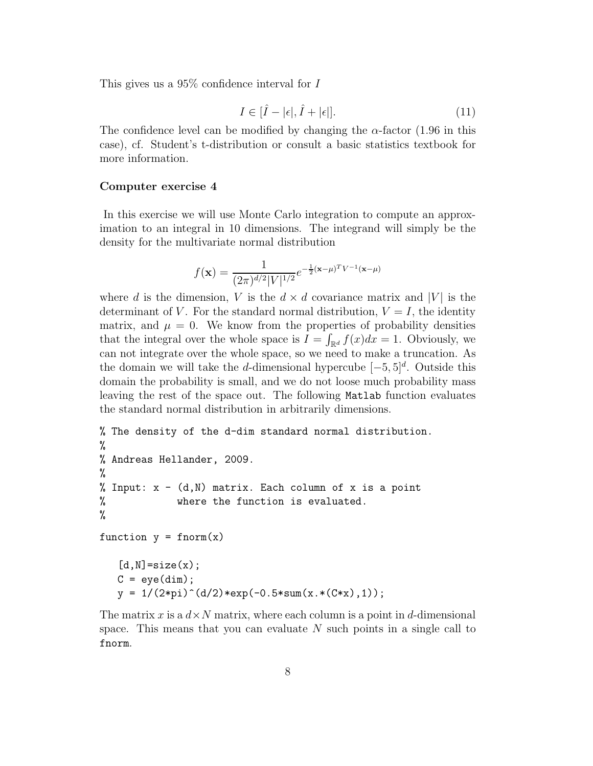This gives us a 95% confidence interval for I

$$
I \in [\hat{I} - |\epsilon|, \hat{I} + |\epsilon|]. \tag{11}
$$

The confidence level can be modified by changing the  $\alpha$ -factor (1.96 in this case), cf. Student's t-distribution or consult a basic statistics textbook for more information.

#### Computer exercise 4

In this exercise we will use Monte Carlo integration to compute an approximation to an integral in 10 dimensions. The integrand will simply be the density for the multivariate normal distribution

$$
f(\mathbf{x}) = \frac{1}{(2\pi)^{d/2} |V|^{1/2}} e^{-\frac{1}{2}(\mathbf{x} - \mu)^T V^{-1}(\mathbf{x} - \mu)}
$$

where d is the dimension, V is the  $d \times d$  covariance matrix and |V| is the determinant of V. For the standard normal distribution,  $V = I$ , the identity matrix, and  $\mu = 0$ . We know from the properties of probability densities that the integral over the whole space is  $I = \int_{\mathbb{R}^d} f(x)dx = 1$ . Obviously, we can not integrate over the whole space, so we need to make a truncation. As the domain we will take the d-dimensional hypercube  $[-5, 5]^d$ . Outside this domain the probability is small, and we do not loose much probability mass leaving the rest of the space out. The following Matlab function evaluates the standard normal distribution in arbitrarily dimensions.

```
% The density of the d-dim standard normal distribution.
%
% Andreas Hellander, 2009.
%
% Input: x - (d,N) matrix. Each column of x is a point
% where the function is evaluated.
%
function y = \text{form}(x)[d,N]=size(x);
  C = eye(dim);y = 1/(2*pi)^{(d/2)*exp(-0.5*sum(x.*(C*x),1));
```
The matrix x is a  $d \times N$  matrix, where each column is a point in d-dimensional space. This means that you can evaluate N such points in a single call to fnorm.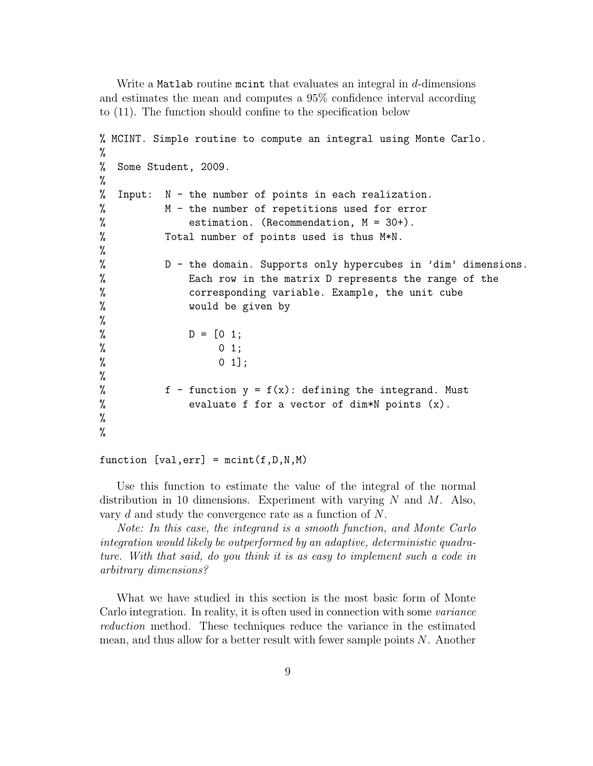Write a Matlab routine motint that evaluates an integral in  $d$ -dimensions and estimates the mean and computes a 95% confidence interval according to (11). The function should confine to the specification below

```
% MCINT. Simple routine to compute an integral using Monte Carlo.
%
% Some Student, 2009.
%
% Input: N - the number of points in each realization.
% M - the number of repetitions used for error
% estimation. (Recommendation, M = 30+).
% Total number of points used is thus M*N.
%
% D - the domain. Supports only hypercubes in 'dim' dimensions.
% Each row in the matrix D represents the range of the
% corresponding variable. Example, the unit cube
% would be given by
%
% D = [0 1;\% 0 1;
% \t 0 1;%
% f - function y = f(x): defining the integrand. Must
% evaluate f for a vector of dim*N points (x).
%
%
```
function  $[val, err] = maint(f, D, N, M)$ 

Use this function to estimate the value of the integral of the normal distribution in 10 dimensions. Experiment with varying  $N$  and  $M$ . Also, vary d and study the convergence rate as a function of N.

Note: In this case, the integrand is a smooth function, and Monte Carlo integration would likely be outperformed by an adaptive, deterministic quadrature. With that said, do you think it is as easy to implement such a code in arbitrary dimensions?

What we have studied in this section is the most basic form of Monte Carlo integration. In reality, it is often used in connection with some variance reduction method. These techniques reduce the variance in the estimated mean, and thus allow for a better result with fewer sample points  $N$ . Another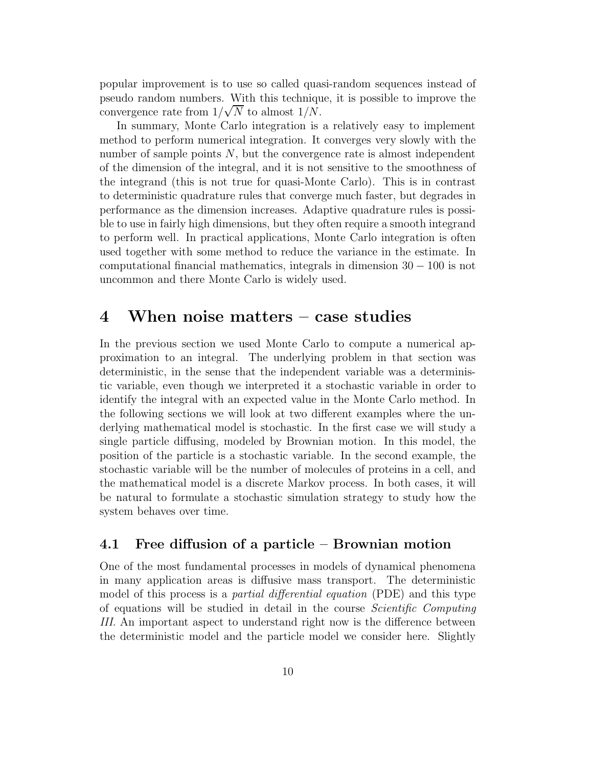popular improvement is to use so called quasi-random sequences instead of pseudo random numbers. With this technique, it is possible to improve the convergence rate from  $1/\sqrt{N}$  to almost  $1/N$ .

In summary, Monte Carlo integration is a relatively easy to implement method to perform numerical integration. It converges very slowly with the number of sample points  $N$ , but the convergence rate is almost independent of the dimension of the integral, and it is not sensitive to the smoothness of the integrand (this is not true for quasi-Monte Carlo). This is in contrast to deterministic quadrature rules that converge much faster, but degrades in performance as the dimension increases. Adaptive quadrature rules is possible to use in fairly high dimensions, but they often require a smooth integrand to perform well. In practical applications, Monte Carlo integration is often used together with some method to reduce the variance in the estimate. In computational financial mathematics, integrals in dimension 30 − 100 is not uncommon and there Monte Carlo is widely used.

## 4 When noise matters – case studies

In the previous section we used Monte Carlo to compute a numerical approximation to an integral. The underlying problem in that section was deterministic, in the sense that the independent variable was a deterministic variable, even though we interpreted it a stochastic variable in order to identify the integral with an expected value in the Monte Carlo method. In the following sections we will look at two different examples where the underlying mathematical model is stochastic. In the first case we will study a single particle diffusing, modeled by Brownian motion. In this model, the position of the particle is a stochastic variable. In the second example, the stochastic variable will be the number of molecules of proteins in a cell, and the mathematical model is a discrete Markov process. In both cases, it will be natural to formulate a stochastic simulation strategy to study how the system behaves over time.

### 4.1 Free diffusion of a particle – Brownian motion

One of the most fundamental processes in models of dynamical phenomena in many application areas is diffusive mass transport. The deterministic model of this process is a *partial differential equation* (PDE) and this type of equations will be studied in detail in the course Scientific Computing III. An important aspect to understand right now is the difference between the deterministic model and the particle model we consider here. Slightly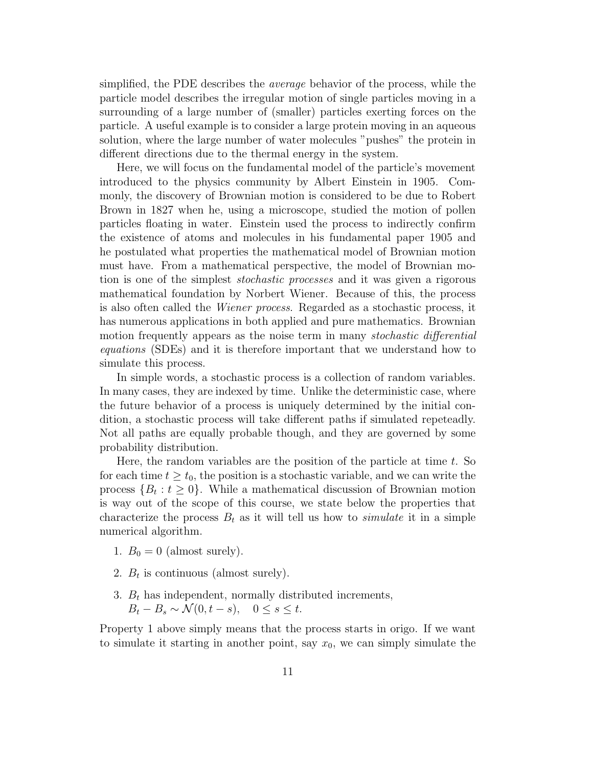simplified, the PDE describes the average behavior of the process, while the particle model describes the irregular motion of single particles moving in a surrounding of a large number of (smaller) particles exerting forces on the particle. A useful example is to consider a large protein moving in an aqueous solution, where the large number of water molecules "pushes" the protein in different directions due to the thermal energy in the system.

Here, we will focus on the fundamental model of the particle's movement introduced to the physics community by Albert Einstein in 1905. Commonly, the discovery of Brownian motion is considered to be due to Robert Brown in 1827 when he, using a microscope, studied the motion of pollen particles floating in water. Einstein used the process to indirectly confirm the existence of atoms and molecules in his fundamental paper 1905 and he postulated what properties the mathematical model of Brownian motion must have. From a mathematical perspective, the model of Brownian motion is one of the simplest stochastic processes and it was given a rigorous mathematical foundation by Norbert Wiener. Because of this, the process is also often called the Wiener process. Regarded as a stochastic process, it has numerous applications in both applied and pure mathematics. Brownian motion frequently appears as the noise term in many *stochastic differential* equations (SDEs) and it is therefore important that we understand how to simulate this process.

In simple words, a stochastic process is a collection of random variables. In many cases, they are indexed by time. Unlike the deterministic case, where the future behavior of a process is uniquely determined by the initial condition, a stochastic process will take different paths if simulated repeteadly. Not all paths are equally probable though, and they are governed by some probability distribution.

Here, the random variables are the position of the particle at time  $t$ . So for each time  $t \geq t_0$ , the position is a stochastic variable, and we can write the process  $\{B_t : t \geq 0\}$ . While a mathematical discussion of Brownian motion is way out of the scope of this course, we state below the properties that characterize the process  $B_t$  as it will tell us how to *simulate* it in a simple numerical algorithm.

- 1.  $B_0 = 0$  (almost surely).
- 2.  $B_t$  is continuous (almost surely).
- 3.  $B_t$  has independent, normally distributed increments,  $B_t - B_s \sim \mathcal{N}(0, t - s), \quad 0 \leq s \leq t.$

Property 1 above simply means that the process starts in origo. If we want to simulate it starting in another point, say  $x_0$ , we can simply simulate the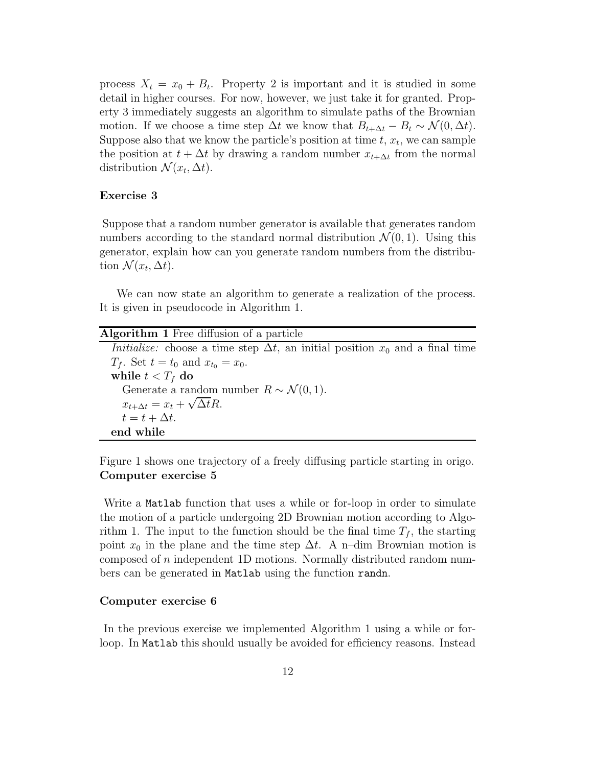process  $X_t = x_0 + B_t$ . Property 2 is important and it is studied in some detail in higher courses. For now, however, we just take it for granted. Property 3 immediately suggests an algorithm to simulate paths of the Brownian motion. If we choose a time step  $\Delta t$  we know that  $B_{t+\Delta t} - B_t \sim \mathcal{N}(0, \Delta t)$ . Suppose also that we know the particle's position at time  $t, x_t$ , we can sample the position at  $t + \Delta t$  by drawing a random number  $x_{t+\Delta t}$  from the normal distribution  $\mathcal{N}(x_t, \Delta t)$ .

#### Exercise 3

Suppose that a random number generator is available that generates random numbers according to the standard normal distribution  $\mathcal{N}(0, 1)$ . Using this generator, explain how can you generate random numbers from the distribution  $\mathcal{N}(x_t, \Delta t)$ .

We can now state an algorithm to generate a realization of the process. It is given in pseudocode in Algorithm 1.

| <b>Algorithm 1</b> Free diffusion of a particle                                               |  |
|-----------------------------------------------------------------------------------------------|--|
| <i>Initialize:</i> choose a time step $\Delta t$ , an initial position $x_0$ and a final time |  |
| $T_f$ . Set $t = t_0$ and $x_{t_0} = x_0$ .                                                   |  |
| while $t < T_f$ do                                                                            |  |
| Generate a random number $R \sim \mathcal{N}(0, 1)$ .                                         |  |
| $x_{t+\Delta t} = x_t + \sqrt{\Delta t} R.$                                                   |  |
| $t = t + \Delta t.$                                                                           |  |
| end while                                                                                     |  |

Figure 1 shows one trajectory of a freely diffusing particle starting in origo. Computer exercise 5

Write a Matlab function that uses a while or for-loop in order to simulate the motion of a particle undergoing 2D Brownian motion according to Algorithm 1. The input to the function should be the final time  $T_f$ , the starting point  $x_0$  in the plane and the time step  $\Delta t$ . A n–dim Brownian motion is composed of n independent 1D motions. Normally distributed random numbers can be generated in Matlab using the function randn.

#### Computer exercise 6

In the previous exercise we implemented Algorithm 1 using a while or forloop. In Matlab this should usually be avoided for efficiency reasons. Instead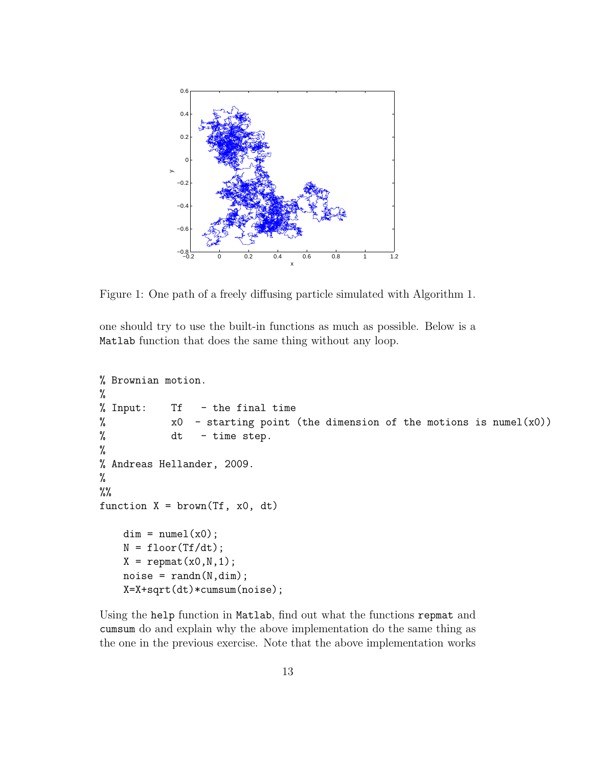

Figure 1: One path of a freely diffusing particle simulated with Algorithm 1.

one should try to use the built-in functions as much as possible. Below is a Matlab function that does the same thing without any loop.

```
% Brownian motion.
%
% Input: Tf - the final time
% x0 - starting point (the dimension of the motions is numel(x0))
% dt - time step.
%
% Andreas Hellander, 2009.
%
\frac{9}{6}function X = brown(Tf, x0, dt)dim = numel(x0);N = floor(Tf/dt);X = \text{repmat}(x0, N, 1);noise = randn(N,dim);X=X+sqrt(dt)*cumsum(noise);
```
Using the help function in Matlab, find out what the functions repmat and cumsum do and explain why the above implementation do the same thing as the one in the previous exercise. Note that the above implementation works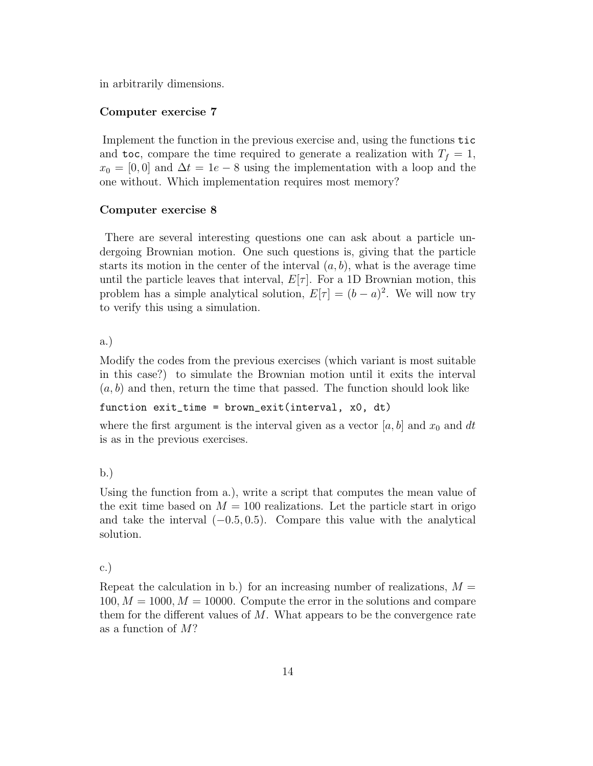in arbitrarily dimensions.

#### Computer exercise 7

Implement the function in the previous exercise and, using the functions tic and toc, compare the time required to generate a realization with  $T_f = 1$ ,  $x_0 = [0, 0]$  and  $\Delta t = 1e - 8$  using the implementation with a loop and the one without. Which implementation requires most memory?

#### Computer exercise 8

There are several interesting questions one can ask about a particle undergoing Brownian motion. One such questions is, giving that the particle starts its motion in the center of the interval  $(a, b)$ , what is the average time until the particle leaves that interval,  $E[\tau]$ . For a 1D Brownian motion, this problem has a simple analytical solution,  $E[\tau] = (b - a)^2$ . We will now try to verify this using a simulation.

a.)

Modify the codes from the previous exercises (which variant is most suitable in this case?) to simulate the Brownian motion until it exits the interval  $(a, b)$  and then, return the time that passed. The function should look like

```
function exit_time = brown_exit(interval, x0, dt)
```
where the first argument is the interval given as a vector  $[a, b]$  and  $x_0$  and dt is as in the previous exercises.

b.)

Using the function from a.), write a script that computes the mean value of the exit time based on  $M = 100$  realizations. Let the particle start in origo and take the interval  $(-0.5, 0.5)$ . Compare this value with the analytical solution.

#### c.)

Repeat the calculation in b.) for an increasing number of realizations,  $M =$  $100, M = 1000, M = 10000$ . Compute the error in the solutions and compare them for the different values of  $M$ . What appears to be the convergence rate as a function of M?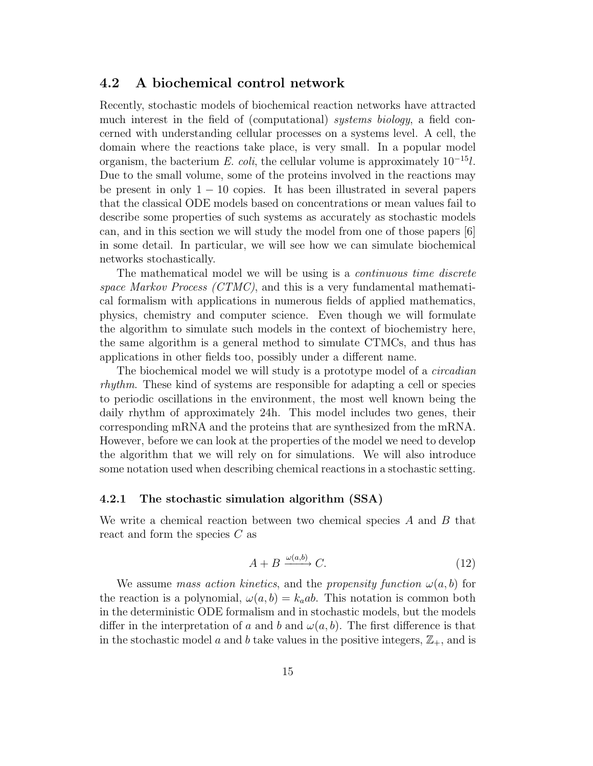### 4.2 A biochemical control network

Recently, stochastic models of biochemical reaction networks have attracted much interest in the field of (computational) *systems biology*, a field concerned with understanding cellular processes on a systems level. A cell, the domain where the reactions take place, is very small. In a popular model organism, the bacterium E. coli, the cellular volume is approximately  $10^{-15}l$ . Due to the small volume, some of the proteins involved in the reactions may be present in only  $1 - 10$  copies. It has been illustrated in several papers that the classical ODE models based on concentrations or mean values fail to describe some properties of such systems as accurately as stochastic models can, and in this section we will study the model from one of those papers [6] in some detail. In particular, we will see how we can simulate biochemical networks stochastically.

The mathematical model we will be using is a *continuous time discrete* space Markov Process (CTMC), and this is a very fundamental mathematical formalism with applications in numerous fields of applied mathematics, physics, chemistry and computer science. Even though we will formulate the algorithm to simulate such models in the context of biochemistry here, the same algorithm is a general method to simulate CTMCs, and thus has applications in other fields too, possibly under a different name.

The biochemical model we will study is a prototype model of a *circadian* rhythm. These kind of systems are responsible for adapting a cell or species to periodic oscillations in the environment, the most well known being the daily rhythm of approximately 24h. This model includes two genes, their corresponding mRNA and the proteins that are synthesized from the mRNA. However, before we can look at the properties of the model we need to develop the algorithm that we will rely on for simulations. We will also introduce some notation used when describing chemical reactions in a stochastic setting.

#### 4.2.1 The stochastic simulation algorithm (SSA)

We write a chemical reaction between two chemical species  $A$  and  $B$  that react and form the species  $C$  as

$$
A + B \xrightarrow{\omega(a,b)} C. \tag{12}
$$

We assume mass action kinetics, and the propensity function  $\omega(a, b)$  for the reaction is a polynomial,  $\omega(a, b) = k_a a b$ . This notation is common both in the deterministic ODE formalism and in stochastic models, but the models differ in the interpretation of a and b and  $\omega(a, b)$ . The first difference is that in the stochastic model a and b take values in the positive integers,  $\mathbb{Z}_+$ , and is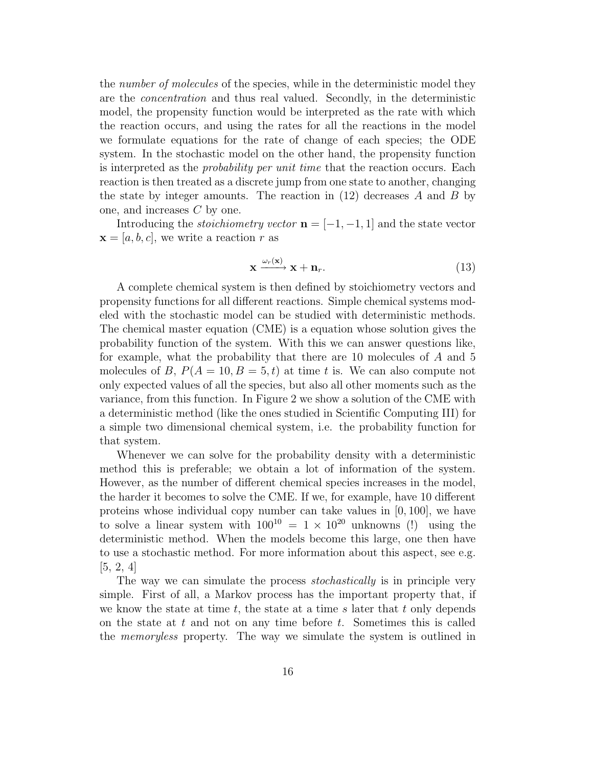the number of molecules of the species, while in the deterministic model they are the concentration and thus real valued. Secondly, in the deterministic model, the propensity function would be interpreted as the rate with which the reaction occurs, and using the rates for all the reactions in the model we formulate equations for the rate of change of each species; the ODE system. In the stochastic model on the other hand, the propensity function is interpreted as the probability per unit time that the reaction occurs. Each reaction is then treated as a discrete jump from one state to another, changing the state by integer amounts. The reaction in  $(12)$  decreases A and B by one, and increases C by one.

Introducing the *stoichiometry vector*  $\mathbf{n} = [-1, -1, 1]$  and the state vector  $\mathbf{x} = [a, b, c]$ , we write a reaction r as

$$
\mathbf{x} \xrightarrow{\omega_r(\mathbf{x})} \mathbf{x} + \mathbf{n}_r. \tag{13}
$$

A complete chemical system is then defined by stoichiometry vectors and propensity functions for all different reactions. Simple chemical systems modeled with the stochastic model can be studied with deterministic methods. The chemical master equation (CME) is a equation whose solution gives the probability function of the system. With this we can answer questions like, for example, what the probability that there are 10 molecules of A and 5 molecules of B,  $P(A = 10, B = 5, t)$  at time t is. We can also compute not only expected values of all the species, but also all other moments such as the variance, from this function. In Figure 2 we show a solution of the CME with a deterministic method (like the ones studied in Scientific Computing III) for a simple two dimensional chemical system, i.e. the probability function for that system.

Whenever we can solve for the probability density with a deterministic method this is preferable; we obtain a lot of information of the system. However, as the number of different chemical species increases in the model, the harder it becomes to solve the CME. If we, for example, have 10 different proteins whose individual copy number can take values in [0, 100], we have to solve a linear system with  $100^{10} = 1 \times 10^{20}$  unknowns (!) using the deterministic method. When the models become this large, one then have to use a stochastic method. For more information about this aspect, see e.g. [5, 2, 4]

The way we can simulate the process *stochastically* is in principle very simple. First of all, a Markov process has the important property that, if we know the state at time  $t$ , the state at a time s later that  $t$  only depends on the state at  $t$  and not on any time before  $t$ . Sometimes this is called the memoryless property. The way we simulate the system is outlined in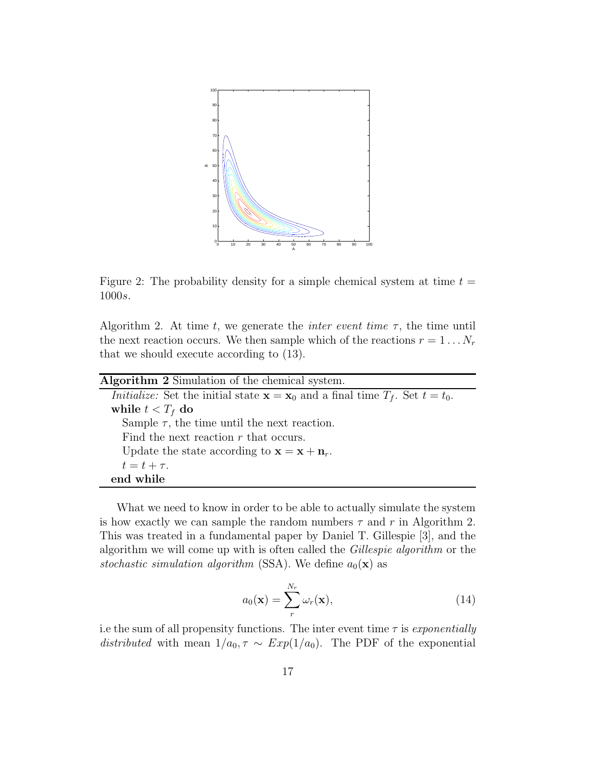

Figure 2: The probability density for a simple chemical system at time  $t =$ 1000s.

Algorithm 2. At time t, we generate the *inter event time*  $\tau$ , the time until the next reaction occurs. We then sample which of the reactions  $r = 1 \dots N_r$ that we should execute according to (13).

| <b>Algorithm 2</b> Simulation of the chemical system.                                                         |
|---------------------------------------------------------------------------------------------------------------|
| <i>Initialize:</i> Set the initial state $\mathbf{x} = \mathbf{x}_0$ and a final time $T_f$ . Set $t = t_0$ . |
| while $t < T_f$ do                                                                                            |
| Sample $\tau$ , the time until the next reaction.                                                             |
| Find the next reaction $r$ that occurs.                                                                       |
| Update the state according to $\mathbf{x} = \mathbf{x} + \mathbf{n}_r$ .                                      |
| $t=t+\tau$ .                                                                                                  |
| end while                                                                                                     |

What we need to know in order to be able to actually simulate the system is how exactly we can sample the random numbers  $\tau$  and r in Algorithm 2. This was treated in a fundamental paper by Daniel T. Gillespie [3], and the algorithm we will come up with is often called the Gillespie algorithm or the stochastic simulation algorithm (SSA). We define  $a_0(\mathbf{x})$  as

$$
a_0(\mathbf{x}) = \sum_r^{N_r} \omega_r(\mathbf{x}), \qquad (14)
$$

i.e the sum of all propensity functions. The inter event time  $\tau$  is exponentially distributed with mean  $1/a_0, \tau \sim Exp(1/a_0)$ . The PDF of the exponential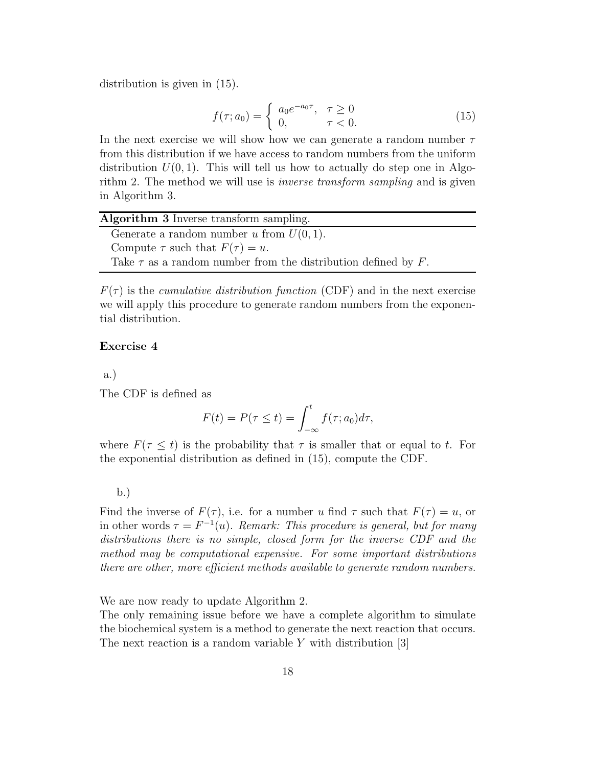distribution is given in (15).

$$
f(\tau; a_0) = \begin{cases} a_0 e^{-a_0 \tau}, & \tau \ge 0 \\ 0, & \tau < 0. \end{cases}
$$
 (15)

In the next exercise we will show how we can generate a random number  $\tau$ from this distribution if we have access to random numbers from the uniform distribution  $U(0, 1)$ . This will tell us how to actually do step one in Algorithm 2. The method we will use is *inverse transform sampling* and is given in Algorithm 3.

| <b>Algorithm 3</b> Inverse transform sampling.                     |  |
|--------------------------------------------------------------------|--|
| Generate a random number u from $U(0, 1)$ .                        |  |
| Compute $\tau$ such that $F(\tau) = u$ .                           |  |
| Take $\tau$ as a random number from the distribution defined by F. |  |

 $F(\tau)$  is the *cumulative distribution function* (CDF) and in the next exercise we will apply this procedure to generate random numbers from the exponential distribution.

#### Exercise 4

a.)

The CDF is defined as

$$
F(t) = P(\tau \le t) = \int_{-\infty}^{t} f(\tau; a_0) d\tau,
$$

where  $F(\tau \leq t)$  is the probability that  $\tau$  is smaller that or equal to t. For the exponential distribution as defined in (15), compute the CDF.

b.)

Find the inverse of  $F(\tau)$ , i.e. for a number u find  $\tau$  such that  $F(\tau) = u$ , or in other words  $\tau = F^{-1}(u)$ . Remark: This procedure is general, but for many distributions there is no simple, closed form for the inverse CDF and the method may be computational expensive. For some important distributions there are other, more efficient methods available to generate random numbers.

We are now ready to update Algorithm 2.

The only remaining issue before we have a complete algorithm to simulate the biochemical system is a method to generate the next reaction that occurs. The next reaction is a random variable  $Y$  with distribution [3]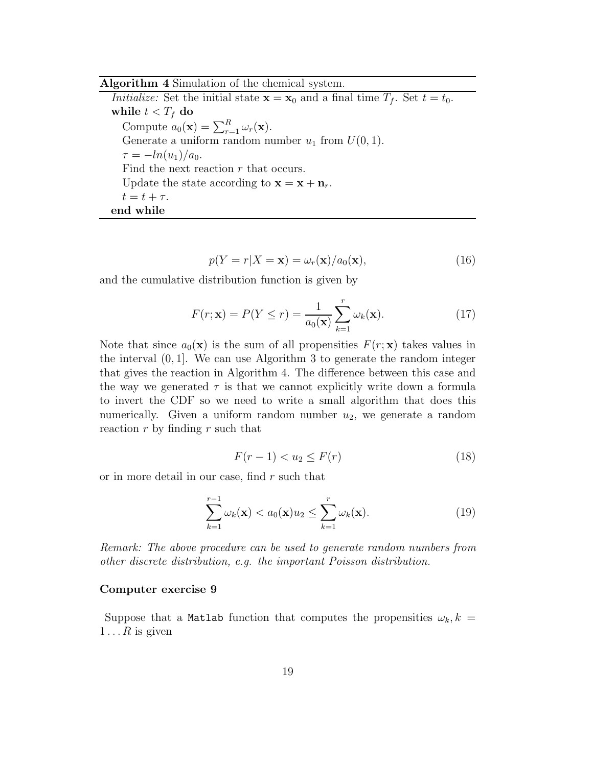#### Algorithm 4 Simulation of the chemical system.

*Initialize:* Set the initial state  $\mathbf{x} = \mathbf{x}_0$  and a final time  $T_f$ . Set  $t = t_0$ . while  $t < T_f$  do Compute  $a_0(\mathbf{x}) = \sum_{r=1}^R \omega_r(\mathbf{x})$ . Generate a uniform random number  $u_1$  from  $U(0, 1)$ .  $\tau = -\ln(u_1)/a_0$ . Find the next reaction r that occurs. Update the state according to  $\mathbf{x} = \mathbf{x} + \mathbf{n}_r$ .  $t = t + \tau$ . end while

$$
p(Y = r | X = \mathbf{x}) = \omega_r(\mathbf{x})/a_0(\mathbf{x}),
$$
\n(16)

and the cumulative distribution function is given by

$$
F(r; \mathbf{x}) = P(Y \le r) = \frac{1}{a_0(\mathbf{x})} \sum_{k=1}^r \omega_k(\mathbf{x}).
$$
 (17)

Note that since  $a_0(\mathbf{x})$  is the sum of all propensities  $F(r; \mathbf{x})$  takes values in the interval (0, 1]. We can use Algorithm 3 to generate the random integer that gives the reaction in Algorithm 4. The difference between this case and the way we generated  $\tau$  is that we cannot explicitly write down a formula to invert the CDF so we need to write a small algorithm that does this numerically. Given a uniform random number  $u_2$ , we generate a random reaction  $r$  by finding  $r$  such that

$$
F(r-1) < u_2 \le F(r) \tag{18}
$$

or in more detail in our case, find r such that

$$
\sum_{k=1}^{r-1} \omega_k(\mathbf{x}) < a_0(\mathbf{x})u_2 \le \sum_{k=1}^r \omega_k(\mathbf{x}).\tag{19}
$$

Remark: The above procedure can be used to generate random numbers from other discrete distribution, e.g. the important Poisson distribution.

#### Computer exercise 9

Suppose that a Matlab function that computes the propensities  $\omega_k, k =$  $1 \dots R$  is given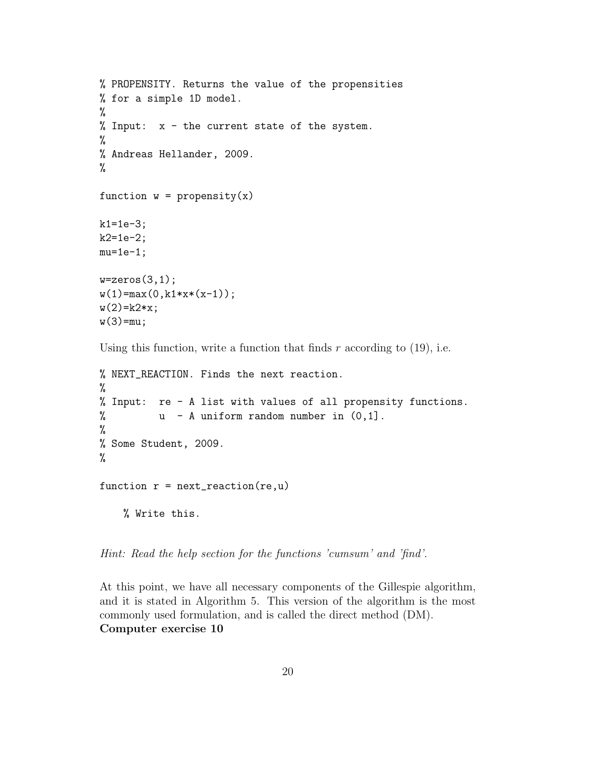```
% PROPENSITY. Returns the value of the propensities
% for a simple 1D model.
%
% Input: x - the current state of the system.
%
% Andreas Hellander, 2009.
%
function w = propensity(x)k1 = 1e-3;k2=1e-2;
mu=1e-1;
w = zeros(3,1);w(1) = max(0, k1*x*(x-1));w(2) = k2*x;w(3) = mu;
```
Using this function, write a function that finds  $r$  according to (19), i.e.

```
% NEXT_REACTION. Finds the next reaction.
%
% Input: re - A list with values of all propensity functions.
% u - A uniform random number in (0,1].
%
% Some Student, 2009.
%
function r = \text{next\_reaction}(re, u)% Write this.
```
Hint: Read the help section for the functions 'cumsum' and 'find'.

At this point, we have all necessary components of the Gillespie algorithm, and it is stated in Algorithm 5. This version of the algorithm is the most commonly used formulation, and is called the direct method (DM). Computer exercise 10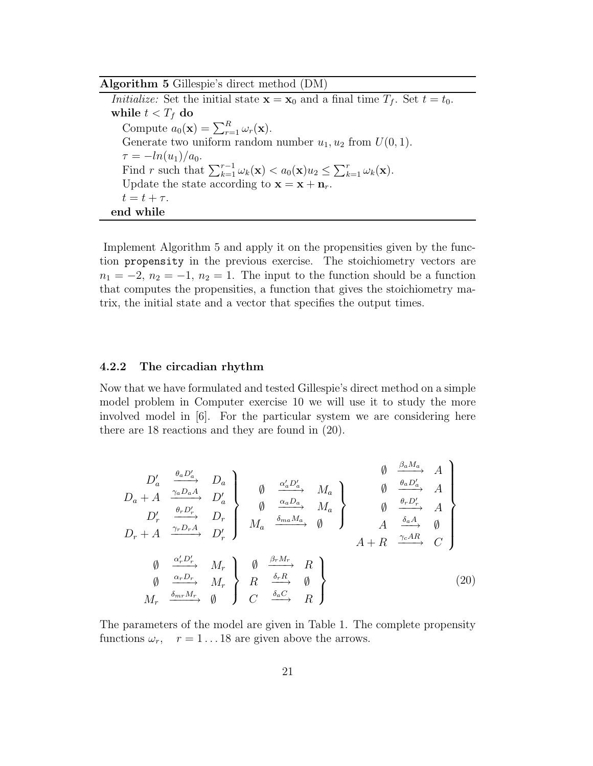Algorithm 5 Gillespie's direct method (DM)

Initialize: Set the initial state  $\mathbf{x} = \mathbf{x}_0$  and a final time  $T_f$ . Set  $t = t_0$ . while  $t < T_f$  do Compute  $a_0(\mathbf{x}) = \sum_{r=1}^R \omega_r(\mathbf{x})$ . Generate two uniform random number  $u_1, u_2$  from  $U(0, 1)$ .  $\tau = -ln(u_1)/a_0.$ Find r such that  $\sum_{k=1}^{r-1} \omega_k(\mathbf{x}) < a_0(\mathbf{x})u_2 \leq \sum_{k=1}^r \omega_k(\mathbf{x})$ . Update the state according to  $\mathbf{x} = \mathbf{x} + \mathbf{n}_r$ .  $t = t + \tau$ . end while

Implement Algorithm 5 and apply it on the propensities given by the function propensity in the previous exercise. The stoichiometry vectors are  $n_1 = -2, n_2 = -1, n_2 = 1$ . The input to the function should be a function that computes the propensities, a function that gives the stoichiometry matrix, the initial state and a vector that specifies the output times.

### 4.2.2 The circadian rhythm

Now that we have formulated and tested Gillespie's direct method on a simple model problem in Computer exercise 10 we will use it to study the more involved model in [6]. For the particular system we are considering here there are 18 reactions and they are found in (20).

$$
D'_{a} \xrightarrow{\theta_{a}D'_{a}} D_{a}
$$
\n
$$
D_{a} + A \xrightarrow{\gamma_{a}D_{a}A} D'_{a}
$$
\n
$$
D'_{r} \xrightarrow{\theta_{r}D'_{r}} D_{r}
$$
\n
$$
D_{r} + A \xrightarrow{\gamma_{r}D_{r}A} D'_{r}
$$
\n
$$
D'_{r} \xrightarrow{\theta_{r}D'_{r}} D_{r}
$$
\n
$$
M_{a} \xrightarrow{\delta_{ma}M_{a}} \emptyset
$$
\n
$$
M_{a} + R \xrightarrow{\delta_{a}A} \emptyset
$$
\n
$$
A + R \xrightarrow{\gamma_{c}A R} \emptyset
$$
\n
$$
M_{r} \xrightarrow{\alpha_{r}D_{r}}
$$
\n
$$
M_{r} \xrightarrow{\delta_{m}m_{r}}
$$
\n
$$
M_{r} \xrightarrow{\delta_{m}m_{r}}
$$
\n
$$
M_{r} \xrightarrow{\delta_{m}C} M_{r}
$$
\n
$$
M_{r} \xrightarrow{\delta_{a}C} M_{r}
$$
\n
$$
M_{r}
$$
\n
$$
(20)
$$

The parameters of the model are given in Table 1. The complete propensity functions  $\omega_r$ ,  $r = 1 \dots 18$  are given above the arrows.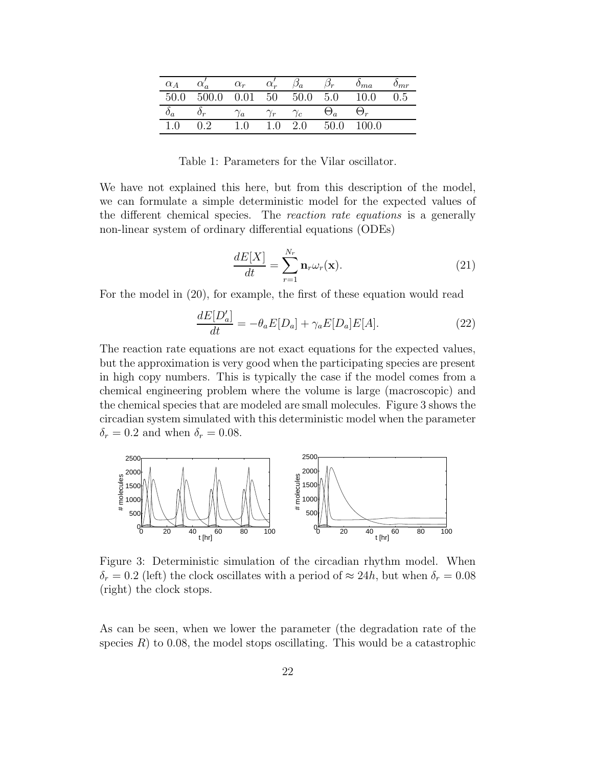| $\alpha_A$      |              | $\alpha_r$ |            | ά    | $J_{T}$      | $\sigma_{ma}$ | m r |
|-----------------|--------------|------------|------------|------|--------------|---------------|-----|
| 50.0            | n na<br>к    | 0.01       | 50         | 50.0 | 5.0          | 10.0          | J.5 |
| $\mathcal{Q}_a$ | $\sigma_{r}$ | Ιa.        | $\gamma_r$ | ' c  | $\Theta_a^-$ |               |     |
|                 | ∩ າ          |            | $\Box$     | 2.0  | 50.0         | 100.0         |     |

Table 1: Parameters for the Vilar oscillator.

We have not explained this here, but from this description of the model, we can formulate a simple deterministic model for the expected values of the different chemical species. The reaction rate equations is a generally non-linear system of ordinary differential equations (ODEs)

$$
\frac{dE[X]}{dt} = \sum_{r=1}^{N_r} \mathbf{n}_r \omega_r(\mathbf{x}).\tag{21}
$$

For the model in (20), for example, the first of these equation would read

$$
\frac{dE[D'_a]}{dt} = -\theta_a E[D_a] + \gamma_a E[D_a] E[A]. \qquad (22)
$$

The reaction rate equations are not exact equations for the expected values, but the approximation is very good when the participating species are present in high copy numbers. This is typically the case if the model comes from a chemical engineering problem where the volume is large (macroscopic) and the chemical species that are modeled are small molecules. Figure 3 shows the circadian system simulated with this deterministic model when the parameter  $\delta_r = 0.2$  and when  $\delta_r = 0.08$ .



Figure 3: Deterministic simulation of the circadian rhythm model. When  $\delta_r = 0.2$  (left) the clock oscillates with a period of  $\approx 24h$ , but when  $\delta_r = 0.08$ (right) the clock stops.

As can be seen, when we lower the parameter (the degradation rate of the species  $R$ ) to 0.08, the model stops oscillating. This would be a catastrophic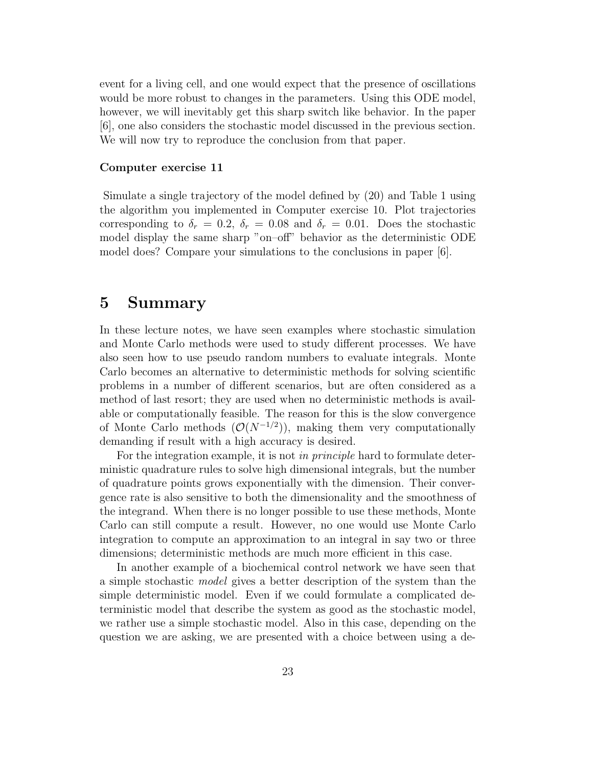event for a living cell, and one would expect that the presence of oscillations would be more robust to changes in the parameters. Using this ODE model, however, we will inevitably get this sharp switch like behavior. In the paper [6], one also considers the stochastic model discussed in the previous section. We will now try to reproduce the conclusion from that paper.

#### Computer exercise 11

Simulate a single trajectory of the model defined by (20) and Table 1 using the algorithm you implemented in Computer exercise 10. Plot trajectories corresponding to  $\delta_r = 0.2$ ,  $\delta_r = 0.08$  and  $\delta_r = 0.01$ . Does the stochastic model display the same sharp "on–off" behavior as the deterministic ODE model does? Compare your simulations to the conclusions in paper [6].

## 5 Summary

In these lecture notes, we have seen examples where stochastic simulation and Monte Carlo methods were used to study different processes. We have also seen how to use pseudo random numbers to evaluate integrals. Monte Carlo becomes an alternative to deterministic methods for solving scientific problems in a number of different scenarios, but are often considered as a method of last resort; they are used when no deterministic methods is available or computationally feasible. The reason for this is the slow convergence of Monte Carlo methods  $(\mathcal{O}(N^{-1/2}))$ , making them very computationally demanding if result with a high accuracy is desired.

For the integration example, it is not in principle hard to formulate deterministic quadrature rules to solve high dimensional integrals, but the number of quadrature points grows exponentially with the dimension. Their convergence rate is also sensitive to both the dimensionality and the smoothness of the integrand. When there is no longer possible to use these methods, Monte Carlo can still compute a result. However, no one would use Monte Carlo integration to compute an approximation to an integral in say two or three dimensions; deterministic methods are much more efficient in this case.

In another example of a biochemical control network we have seen that a simple stochastic model gives a better description of the system than the simple deterministic model. Even if we could formulate a complicated deterministic model that describe the system as good as the stochastic model, we rather use a simple stochastic model. Also in this case, depending on the question we are asking, we are presented with a choice between using a de